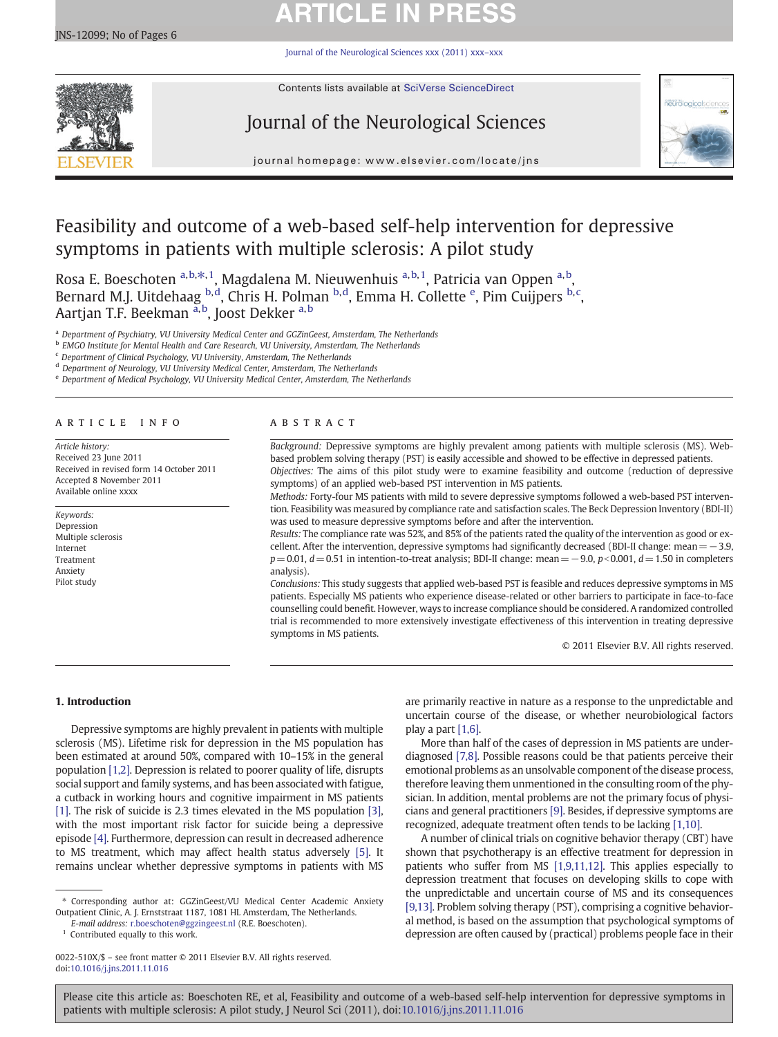# **ARTICLE IN PRESS**

[Journal of the Neurological Sciences xxx \(2011\) xxx](http://dx.doi.org/10.1016/j.jns.2011.11.016)–xxx



Contents lists available at SciVerse ScienceDirect

# Journal of the Neurological Sciences



journal homepage: www.elsevier.com/locate/jns

# Feasibility and outcome of a web-based self-help intervention for depressive symptoms in patients with multiple sclerosis: A pilot study

Rosa E. Boeschoten <sup>a,b, $\ast$ ,1, Magdalena M. Nieuwenhuis <sup>a,b,1</sup>, Patricia van Oppen <sup>a,b</sup>,</sup> Bernard M.J. Uitdehaag <sup>b,d</sup>, Chris H. Polman <sup>b,d</sup>, Emma H. Collette <sup>e</sup>, Pim Cuijpers <sup>b,c</sup>, Aartjan T.F. Beekman <sup>a,b</sup>, Joost Dekker <sup>a,b</sup>

<sup>a</sup> Department of Psychiatry, VU University Medical Center and GGZinGeest, Amsterdam, The Netherlands

<sup>b</sup> EMGO Institute for Mental Health and Care Research, VU University, Amsterdam, The Netherlands

<sup>c</sup> Department of Clinical Psychology, VU University, Amsterdam, The Netherlands

<sup>d</sup> Department of Neurology, VU University Medical Center, Amsterdam, The Netherlands

<sup>e</sup> Department of Medical Psychology, VU University Medical Center, Amsterdam, The Netherlands

## article info abstract

Article history: Received 23 June 2011 Received in revised form 14 October 2011 Accepted 8 November 2011 Available online xxxx

Keywords: Depression Multiple sclerosis Internet Treatment Anxiety Pilot study

Background: Depressive symptoms are highly prevalent among patients with multiple sclerosis (MS). Webbased problem solving therapy (PST) is easily accessible and showed to be effective in depressed patients.

Objectives: The aims of this pilot study were to examine feasibility and outcome (reduction of depressive symptoms) of an applied web-based PST intervention in MS patients.

Methods: Forty-four MS patients with mild to severe depressive symptoms followed a web-based PST intervention. Feasibility was measured by compliance rate and satisfaction scales. The Beck Depression Inventory (BDI-II) was used to measure depressive symptoms before and after the intervention.

Results: The compliance rate was 52%, and 85% of the patients rated the quality of the intervention as good or excellent. After the intervention, depressive symptoms had significantly decreased (BDI-II change: mean=−3.9,  $p= 0.01$ ,  $d= 0.51$  in intention-to-treat analysis; BDI-II change: mean = −9.0,  $p< 0.001$ ,  $d=1.50$  in completers analysis).

Conclusions: This study suggests that applied web-based PST is feasible and reduces depressive symptoms in MS patients. Especially MS patients who experience disease-related or other barriers to participate in face-to-face counselling could benefit. However, ways to increase compliance should be considered. A randomized controlled trial is recommended to more extensively investigate effectiveness of this intervention in treating depressive symptoms in MS patients.

© 2011 Elsevier B.V. All rights reserved.

## 1. Introduction

Depressive symptoms are highly prevalent in patients with multiple sclerosis (MS). Lifetime risk for depression in the MS population has been estimated at around 50%, compared with 10–15% in the general population [\[1,2\]](#page-5-0). Depression is related to poorer quality of life, disrupts social support and family systems, and has been associated with fatigue, a cutback in working hours and cognitive impairment in MS patients [\[1\]](#page-5-0). The risk of suicide is 2.3 times elevated in the MS population [\[3\],](#page-5-0) with the most important risk factor for suicide being a depressive episode [\[4\].](#page-5-0) Furthermore, depression can result in decreased adherence to MS treatment, which may affect health status adversely [\[5\]](#page-5-0). It remains unclear whether depressive symptoms in patients with MS

⁎ Corresponding author at: GGZinGeest/VU Medical Center Academic Anxiety Outpatient Clinic, A. J. Ernststraat 1187, 1081 HL Amsterdam, The Netherlands.

 $1$  Contributed equally to this work.

are primarily reactive in nature as a response to the unpredictable and uncertain course of the disease, or whether neurobiological factors play a part [\[1,6\].](#page-5-0)

More than half of the cases of depression in MS patients are underdiagnosed [\[7,8\]](#page-5-0). Possible reasons could be that patients perceive their emotional problems as an unsolvable component of the disease process, therefore leaving them unmentioned in the consulting room of the physician. In addition, mental problems are not the primary focus of physicians and general practitioners [\[9\].](#page-5-0) Besides, if depressive symptoms are recognized, adequate treatment often tends to be lacking [\[1,10\]](#page-5-0).

A number of clinical trials on cognitive behavior therapy (CBT) have shown that psychotherapy is an effective treatment for depression in patients who suffer from MS [\[1,9,11,12\].](#page-5-0) This applies especially to depression treatment that focuses on developing skills to cope with the unpredictable and uncertain course of MS and its consequences [\[9,13\]](#page-5-0). Problem solving therapy (PST), comprising a cognitive behavioral method, is based on the assumption that psychological symptoms of depression are often caused by (practical) problems people face in their

E-mail address: [r.boeschoten@ggzingeest.nl](mailto:r.boeschoten@ggzingeest.nl) (R.E. Boeschoten).

<sup>0022-510</sup>X/\$ – see front matter © 2011 Elsevier B.V. All rights reserved. doi:[10.1016/j.jns.2011.11.016](http://dx.doi.org/10.1016/j.jns.2011.11.016)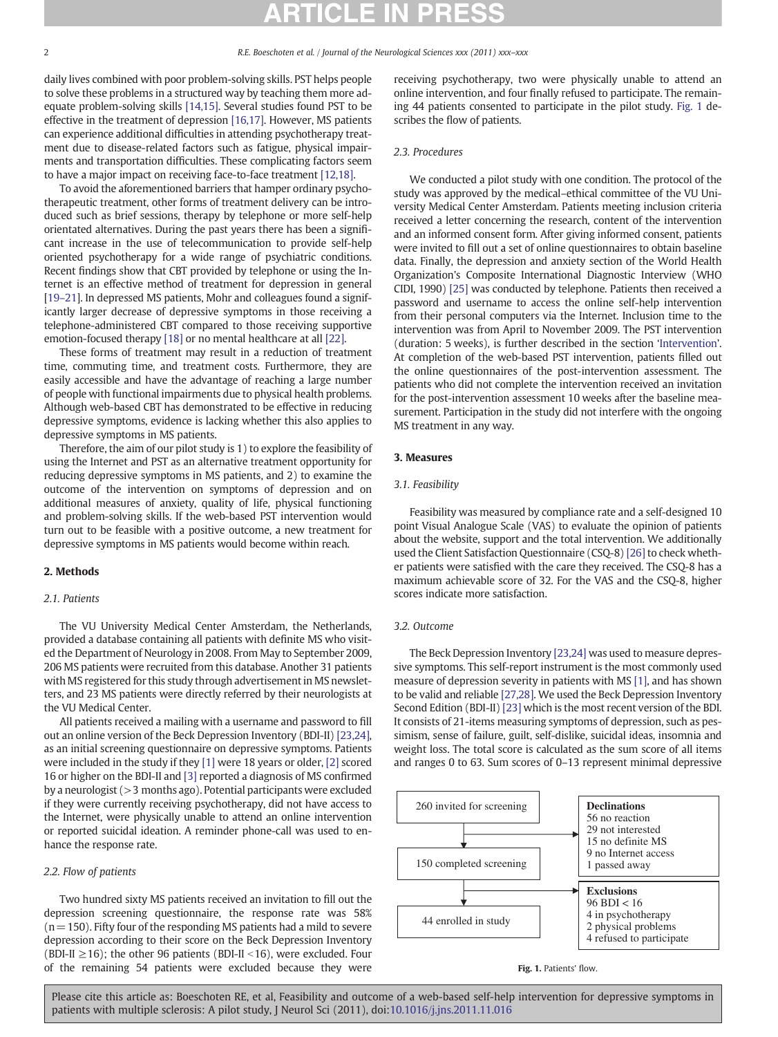daily lives combined with poor problem-solving skills. PST helps people to solve these problems in a structured way by teaching them more adequate problem-solving skills [\[14,15\]](#page-5-0). Several studies found PST to be effective in the treatment of depression [\[16,17\]](#page-5-0). However, MS patients can experience additional difficulties in attending psychotherapy treatment due to disease-related factors such as fatigue, physical impairments and transportation difficulties. These complicating factors seem to have a major impact on receiving face-to-face treatment [\[12,18\].](#page-5-0)

To avoid the aforementioned barriers that hamper ordinary psychotherapeutic treatment, other forms of treatment delivery can be introduced such as brief sessions, therapy by telephone or more self-help orientated alternatives. During the past years there has been a significant increase in the use of telecommunication to provide self-help oriented psychotherapy for a wide range of psychiatric conditions. Recent findings show that CBT provided by telephone or using the Internet is an effective method of treatment for depression in general [\[19](#page-5-0)-21]. In depressed MS patients, Mohr and colleagues found a significantly larger decrease of depressive symptoms in those receiving a telephone-administered CBT compared to those receiving supportive emotion-focused therapy [\[18\]](#page-5-0) or no mental healthcare at all [\[22\].](#page-5-0)

These forms of treatment may result in a reduction of treatment time, commuting time, and treatment costs. Furthermore, they are easily accessible and have the advantage of reaching a large number of people with functional impairments due to physical health problems. Although web-based CBT has demonstrated to be effective in reducing depressive symptoms, evidence is lacking whether this also applies to depressive symptoms in MS patients.

Therefore, the aim of our pilot study is 1) to explore the feasibility of using the Internet and PST as an alternative treatment opportunity for reducing depressive symptoms in MS patients, and 2) to examine the outcome of the intervention on symptoms of depression and on additional measures of anxiety, quality of life, physical functioning and problem-solving skills. If the web-based PST intervention would turn out to be feasible with a positive outcome, a new treatment for depressive symptoms in MS patients would become within reach.

# 2. Methods

# 2.1. Patients

The VU University Medical Center Amsterdam, the Netherlands, provided a database containing all patients with definite MS who visited the Department of Neurology in 2008. From May to September 2009, 206 MS patients were recruited from this database. Another 31 patients with MS registered for this study through advertisement in MS newsletters, and 23 MS patients were directly referred by their neurologists at the VU Medical Center.

All patients received a mailing with a username and password to fill out an online version of the Beck Depression Inventory (BDI-II) [\[23,24\],](#page-5-0) as an initial screening questionnaire on depressive symptoms. Patients were included in the study if they [\[1\]](#page-5-0) were 18 years or older, [\[2\]](#page-5-0) scored 16 or higher on the BDI-II and [\[3\]](#page-5-0) reported a diagnosis of MS confirmed by a neurologist (>3 months ago). Potential participants were excluded if they were currently receiving psychotherapy, did not have access to the Internet, were physically unable to attend an online intervention or reported suicidal ideation. A reminder phone-call was used to enhance the response rate.

# 2.2. Flow of patients

Two hundred sixty MS patients received an invitation to fill out the depression screening questionnaire, the response rate was 58%  $(n=150)$ . Fifty four of the responding MS patients had a mild to severe depression according to their score on the Beck Depression Inventory (BDI-II  $\geq$ 16); the other 96 patients (BDI-II <16), were excluded. Four of the remaining 54 patients were excluded because they were

receiving psychotherapy, two were physically unable to attend an online intervention, and four finally refused to participate. The remaining 44 patients consented to participate in the pilot study. Fig. 1 describes the flow of patients.

### 2.3. Procedures

We conducted a pilot study with one condition. The protocol of the study was approved by the medical–ethical committee of the VU University Medical Center Amsterdam. Patients meeting inclusion criteria received a letter concerning the research, content of the intervention and an informed consent form. After giving informed consent, patients were invited to fill out a set of online questionnaires to obtain baseline data. Finally, the depression and anxiety section of the World Health Organization's Composite International Diagnostic Interview (WHO CIDI, 1990) [\[25\]](#page-5-0) was conducted by telephone. Patients then received a password and username to access the online self-help intervention from their personal computers via the Internet. Inclusion time to the intervention was from April to November 2009. The PST intervention (duration: 5 weeks), is further described in the section '[Intervention](#page-2-0)'. At completion of the web-based PST intervention, patients filled out the online questionnaires of the post-intervention assessment. The patients who did not complete the intervention received an invitation for the post-intervention assessment 10 weeks after the baseline measurement. Participation in the study did not interfere with the ongoing MS treatment in any way.

# 3. Measures

# 3.1. Feasibility

Feasibility was measured by compliance rate and a self-designed 10 point Visual Analogue Scale (VAS) to evaluate the opinion of patients about the website, support and the total intervention. We additionally used the Client Satisfaction Questionnaire (CSQ-8) [\[26\]](#page-5-0) to check whether patients were satisfied with the care they received. The CSQ-8 has a maximum achievable score of 32. For the VAS and the CSQ-8, higher scores indicate more satisfaction.

### 3.2. Outcome

The Beck Depression Inventory [\[23,24\]](#page-5-0) was used to measure depressive symptoms. This self-report instrument is the most commonly used measure of depression severity in patients with MS [\[1\]](#page-5-0), and has shown to be valid and reliable [\[27,28\].](#page-5-0) We used the Beck Depression Inventory Second Edition (BDI-II) [\[23\]](#page-5-0) which is the most recent version of the BDI. It consists of 21-items measuring symptoms of depression, such as pessimism, sense of failure, guilt, self-dislike, suicidal ideas, insomnia and weight loss. The total score is calculated as the sum score of all items and ranges 0 to 63. Sum scores of 0–13 represent minimal depressive



#### Fig. 1. Patients' flow.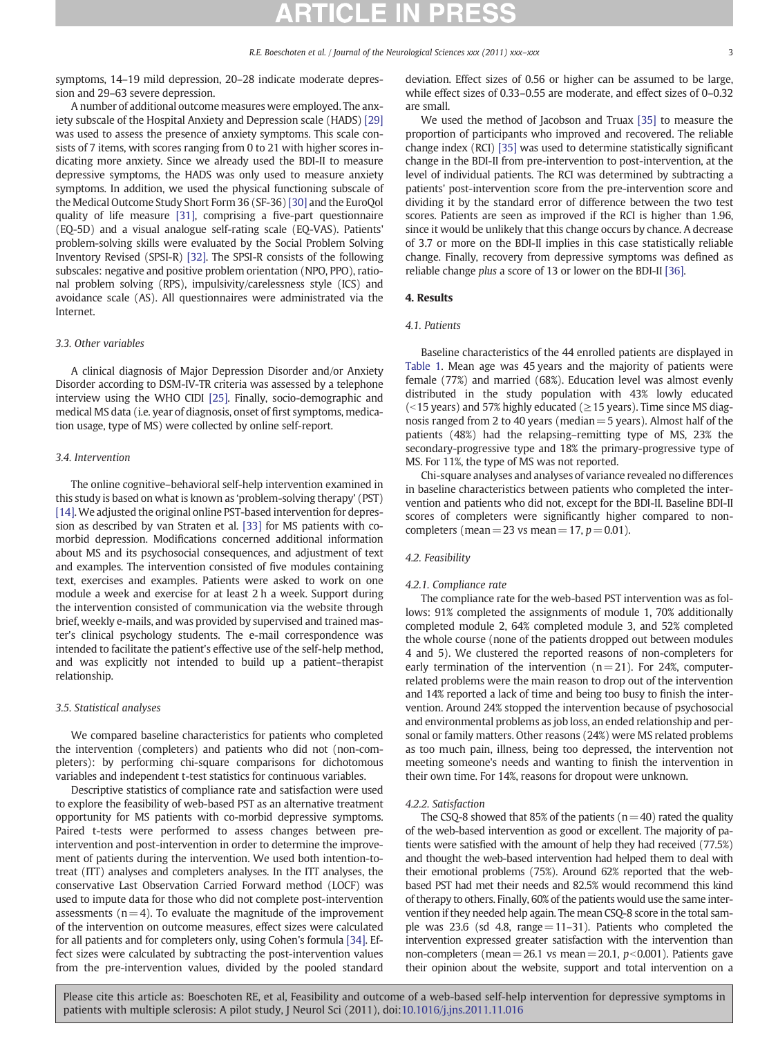<span id="page-2-0"></span>A number of additional outcome measures were employed. The anxiety subscale of the Hospital Anxiety and Depression scale (HADS) [\[29\]](#page-5-0) was used to assess the presence of anxiety symptoms. This scale consists of 7 items, with scores ranging from 0 to 21 with higher scores indicating more anxiety. Since we already used the BDI-II to measure depressive symptoms, the HADS was only used to measure anxiety symptoms. In addition, we used the physical functioning subscale of the Medical Outcome Study Short Form 36 (SF-36) [\[30\]](#page-5-0) and the EuroQol quality of life measure [\[31\]](#page-5-0), comprising a five-part questionnaire (EQ-5D) and a visual analogue self-rating scale (EQ-VAS). Patients' problem-solving skills were evaluated by the Social Problem Solving Inventory Revised (SPSI-R) [\[32\].](#page-5-0) The SPSI-R consists of the following subscales: negative and positive problem orientation (NPO, PPO), rational problem solving (RPS), impulsivity/carelessness style (ICS) and avoidance scale (AS). All questionnaires were administrated via the Internet.

# 3.3. Other variables

A clinical diagnosis of Major Depression Disorder and/or Anxiety Disorder according to DSM-IV-TR criteria was assessed by a telephone interview using the WHO CIDI [\[25\]](#page-5-0). Finally, socio-demographic and medical MS data (i.e. year of diagnosis, onset of first symptoms, medication usage, type of MS) were collected by online self-report.

# 3.4. Intervention

The online cognitive–behavioral self-help intervention examined in this study is based on what is known as 'problem-solving therapy' (PST) [\[14\].](#page-5-0) We adjusted the original online PST-based intervention for depression as described by van Straten et al. [\[33\]](#page-5-0) for MS patients with comorbid depression. Modifications concerned additional information about MS and its psychosocial consequences, and adjustment of text and examples. The intervention consisted of five modules containing text, exercises and examples. Patients were asked to work on one module a week and exercise for at least 2 h a week. Support during the intervention consisted of communication via the website through brief, weekly e-mails, and was provided by supervised and trained master's clinical psychology students. The e-mail correspondence was intended to facilitate the patient's effective use of the self-help method, and was explicitly not intended to build up a patient–therapist relationship.

### 3.5. Statistical analyses

We compared baseline characteristics for patients who completed the intervention (completers) and patients who did not (non-completers): by performing chi-square comparisons for dichotomous variables and independent t-test statistics for continuous variables.

Descriptive statistics of compliance rate and satisfaction were used to explore the feasibility of web-based PST as an alternative treatment opportunity for MS patients with co-morbid depressive symptoms. Paired t-tests were performed to assess changes between preintervention and post-intervention in order to determine the improvement of patients during the intervention. We used both intention-totreat (ITT) analyses and completers analyses. In the ITT analyses, the conservative Last Observation Carried Forward method (LOCF) was used to impute data for those who did not complete post-intervention assessments  $(n=4)$ . To evaluate the magnitude of the improvement of the intervention on outcome measures, effect sizes were calculated for all patients and for completers only, using Cohen's formula [\[34\].](#page-5-0) Effect sizes were calculated by subtracting the post-intervention values from the pre-intervention values, divided by the pooled standard deviation. Effect sizes of 0.56 or higher can be assumed to be large, while effect sizes of 0.33–0.55 are moderate, and effect sizes of 0–0.32 are small.

We used the method of Jacobson and Truax [\[35\]](#page-5-0) to measure the proportion of participants who improved and recovered. The reliable change index (RCI) [\[35\]](#page-5-0) was used to determine statistically significant change in the BDI-II from pre-intervention to post-intervention, at the level of individual patients. The RCI was determined by subtracting a patients' post-intervention score from the pre-intervention score and dividing it by the standard error of difference between the two test scores. Patients are seen as improved if the RCI is higher than 1.96, since it would be unlikely that this change occurs by chance. A decrease of 3.7 or more on the BDI-II implies in this case statistically reliable change. Finally, recovery from depressive symptoms was defined as reliable change plus a score of 13 or lower on the BDI-II [\[36\].](#page-5-0)

### 4. Results

## 4.1. Patients

Baseline characteristics of the 44 enrolled patients are displayed in [Table 1.](#page-3-0) Mean age was 45 years and the majority of patients were female (77%) and married (68%). Education level was almost evenly distributed in the study population with 43% lowly educated (<15 years) and 57% highly educated ( $\geq$ 15 years). Time since MS diagnosis ranged from 2 to 40 years (median=5 years). Almost half of the patients (48%) had the relapsing–remitting type of MS, 23% the secondary-progressive type and 18% the primary-progressive type of MS. For 11%, the type of MS was not reported.

Chi-square analyses and analyses of variance revealed no differences in baseline characteristics between patients who completed the intervention and patients who did not, except for the BDI-II. Baseline BDI-II scores of completers were significantly higher compared to noncompleters (mean = 23 vs mean = 17,  $p = 0.01$ ).

# 4.2. Feasibility

## 4.2.1. Compliance rate

The compliance rate for the web-based PST intervention was as follows: 91% completed the assignments of module 1, 70% additionally completed module 2, 64% completed module 3, and 52% completed the whole course (none of the patients dropped out between modules 4 and 5). We clustered the reported reasons of non-completers for early termination of the intervention  $(n=21)$ . For 24%, computerrelated problems were the main reason to drop out of the intervention and 14% reported a lack of time and being too busy to finish the intervention. Around 24% stopped the intervention because of psychosocial and environmental problems as job loss, an ended relationship and personal or family matters. Other reasons (24%) were MS related problems as too much pain, illness, being too depressed, the intervention not meeting someone's needs and wanting to finish the intervention in their own time. For 14%, reasons for dropout were unknown.

#### 4.2.2. Satisfaction

The CSQ-8 showed that 85% of the patients ( $n=40$ ) rated the quality of the web-based intervention as good or excellent. The majority of patients were satisfied with the amount of help they had received (77.5%) and thought the web-based intervention had helped them to deal with their emotional problems (75%). Around 62% reported that the webbased PST had met their needs and 82.5% would recommend this kind of therapy to others. Finally, 60% of the patients would use the same intervention if they needed help again. The mean CSQ-8 score in the total sample was 23.6 (sd 4.8, range $=11-31$ ). Patients who completed the intervention expressed greater satisfaction with the intervention than non-completers (mean=26.1 vs mean=20.1,  $p<0.001$ ). Patients gave their opinion about the website, support and total intervention on a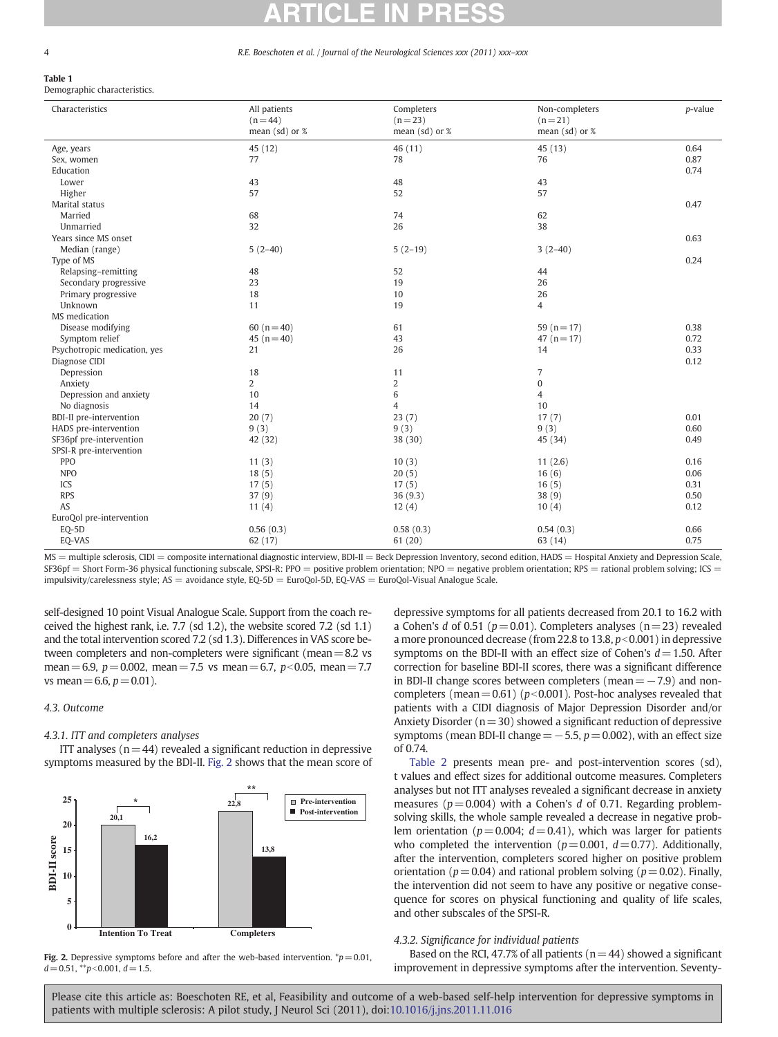#### R.E. Boeschoten et al. / Journal of the Neurological Sciences xxx (2011) xxx-xxx

# <span id="page-3-0"></span>Table 1

Demographic characteristics.

| Characteristics                                                                                                                                                              | All patients<br>$(n = 44)$ | Completers<br>$(n=23)$ | Non-completers<br>$(n=21)$ | p-value |  |
|------------------------------------------------------------------------------------------------------------------------------------------------------------------------------|----------------------------|------------------------|----------------------------|---------|--|
|                                                                                                                                                                              | mean $(sd)$ or $%$         | mean $(sd)$ or $%$     | mean (sd) or %             |         |  |
| Age, years                                                                                                                                                                   | 45 (12)                    | 46 (11)                | 45 (13)                    | 0.64    |  |
| Sex, women                                                                                                                                                                   | 77                         | 78                     | 76                         | 0.87    |  |
| Education                                                                                                                                                                    |                            |                        |                            | 0.74    |  |
| Lower                                                                                                                                                                        | 43                         | 48                     | 43                         |         |  |
| Higher                                                                                                                                                                       | 57                         | 52                     | 57                         |         |  |
| Marital status                                                                                                                                                               |                            |                        |                            | 0.47    |  |
| Married                                                                                                                                                                      | 68                         | 74                     | 62                         |         |  |
| Unmarried                                                                                                                                                                    | 32                         | 26                     | 38                         |         |  |
| Years since MS onset                                                                                                                                                         |                            |                        |                            | 0.63    |  |
| Median (range)                                                                                                                                                               | $5(2-40)$                  | $5(2-19)$              | $3(2-40)$                  |         |  |
| Type of MS                                                                                                                                                                   |                            |                        |                            | 0.24    |  |
| Relapsing-remitting                                                                                                                                                          | 48                         | 52                     | 44                         |         |  |
| Secondary progressive                                                                                                                                                        | 23                         | 19                     | 26                         |         |  |
| Primary progressive                                                                                                                                                          | 18                         | 10                     | 26                         |         |  |
| Unknown                                                                                                                                                                      | 11                         | 19                     | $\overline{4}$             |         |  |
| MS medication                                                                                                                                                                |                            |                        |                            |         |  |
| Disease modifying                                                                                                                                                            | 60 $(n=40)$                | 61                     | 59 ( $n = 17$ )            | 0.38    |  |
| Symptom relief                                                                                                                                                               | 45 ( $n = 40$ )            | 43                     | 47 $(n=17)$                | 0.72    |  |
| Psychotropic medication, yes                                                                                                                                                 | 21                         | 26                     | 14                         | 0.33    |  |
| Diagnose CIDI                                                                                                                                                                |                            |                        |                            | 0.12    |  |
| Depression                                                                                                                                                                   | 18                         | 11                     | 7                          |         |  |
| Anxiety                                                                                                                                                                      | $\overline{2}$             | $\overline{2}$         | $\bf{0}$                   |         |  |
| Depression and anxiety                                                                                                                                                       | 10                         | 6                      | $\overline{4}$             |         |  |
| No diagnosis                                                                                                                                                                 | 14                         | $\overline{4}$         | 10                         |         |  |
| <b>BDI-II</b> pre-intervention                                                                                                                                               | 20(7)                      | 23(7)                  | 17(7)                      | 0.01    |  |
| HADS pre-intervention                                                                                                                                                        | 9(3)                       | 9(3)                   | 9(3)                       | 0.60    |  |
| SF36pf pre-intervention                                                                                                                                                      | 42 (32)                    | 38 (30)                | 45 (34)                    | 0.49    |  |
| SPSI-R pre-intervention                                                                                                                                                      |                            |                        |                            |         |  |
| <b>PPO</b>                                                                                                                                                                   | 11(3)                      | 10(3)                  | 11(2.6)                    | 0.16    |  |
| <b>NPO</b>                                                                                                                                                                   | 18(5)                      | 20(5)                  | 16(6)                      | 0.06    |  |
| ICS                                                                                                                                                                          | 17(5)                      | 17(5)                  | 16(5)                      | 0.31    |  |
| <b>RPS</b>                                                                                                                                                                   | 37(9)                      | 36 (9.3)               | 38(9)                      | 0.50    |  |
| AS                                                                                                                                                                           | 11(4)                      | 12(4)                  | 10(4)                      | 0.12    |  |
| EuroQol pre-intervention                                                                                                                                                     |                            |                        |                            |         |  |
| EQ-5D                                                                                                                                                                        | 0.56(0.3)                  | 0.58(0.3)              | 0.54(0.3)                  | 0.66    |  |
| EQ-VAS                                                                                                                                                                       | 62 (17)                    | 61(20)                 | 63 (14)                    | 0.75    |  |
| MC — multiple coloresis CIDI — composite international diametric internation DDL II — Book Depression Inventory, second edition UADC — Ugenital Apviety and Depression Scale |                            |                        |                            |         |  |

= multiple sclerosis, CIDI = composite international diagnostic interview, BDI-II = Beck Depression Inventory, second edition, HADS = Hospital Anxiety and Depression Scale, SF36pf = Short Form-36 physical functioning subscale, SPSI-R: PPO = positive problem orientation; NPO = negative problem orientation; RPS = rational problem solving; ICS = impulsivity/carelessness style; AS = avoidance style, EQ-5D = EuroQol-5D, EQ-VAS = EuroQol-Visual Analogue Scale.

self-designed 10 point Visual Analogue Scale. Support from the coach received the highest rank, i.e. 7.7 (sd 1.2), the website scored 7.2 (sd 1.1) and the total intervention scored 7.2 (sd 1.3). Differences in VAS score between completers and non-completers were significant (mean $=8.2$  vs mean = 6.9,  $p = 0.002$ , mean = 7.5 vs mean = 6.7,  $p < 0.05$ , mean = 7.7 vs mean = 6.6,  $p = 0.01$ ).

# 4.3. Outcome

# 4.3.1. ITT and completers analyses

ITT analyses  $(n=44)$  revealed a significant reduction in depressive symptoms measured by the BDI-II. Fig. 2 shows that the mean score of





depressive symptoms for all patients decreased from 20.1 to 16.2 with a Cohen's d of 0.51 ( $p=0.01$ ). Completers analyses ( $n=23$ ) revealed a more pronounced decrease (from 22.8 to 13.8,  $p<0.001$ ) in depressive symptoms on the BDI-II with an effect size of Cohen's  $d=1.50$ . After correction for baseline BDI-II scores, there was a significant difference in BDI-II change scores between completers (mean= $-7.9$ ) and noncompleters (mean = 0.61) ( $p<0.001$ ). Post-hoc analyses revealed that patients with a CIDI diagnosis of Major Depression Disorder and/or Anxiety Disorder ( $n=30$ ) showed a significant reduction of depressive symptoms (mean BDI-II change =  $-5.5$ ,  $p=0.002$ ), with an effect size of 0.74.

[Table 2](#page-4-0) presents mean pre- and post-intervention scores (sd), t values and effect sizes for additional outcome measures. Completers analyses but not ITT analyses revealed a significant decrease in anxiety measures ( $p=0.004$ ) with a Cohen's d of 0.71. Regarding problemsolving skills, the whole sample revealed a decrease in negative problem orientation ( $p=0.004$ ;  $d=0.41$ ), which was larger for patients who completed the intervention ( $p=0.001$ ,  $d=0.77$ ). Additionally, after the intervention, completers scored higher on positive problem orientation ( $p=0.04$ ) and rational problem solving ( $p=0.02$ ). Finally, the intervention did not seem to have any positive or negative consequence for scores on physical functioning and quality of life scales, and other subscales of the SPSI-R.

## 4.3.2. Significance for individual patients

Based on the RCI, 47.7% of all patients ( $n=44$ ) showed a significant improvement in depressive symptoms after the intervention. Seventy-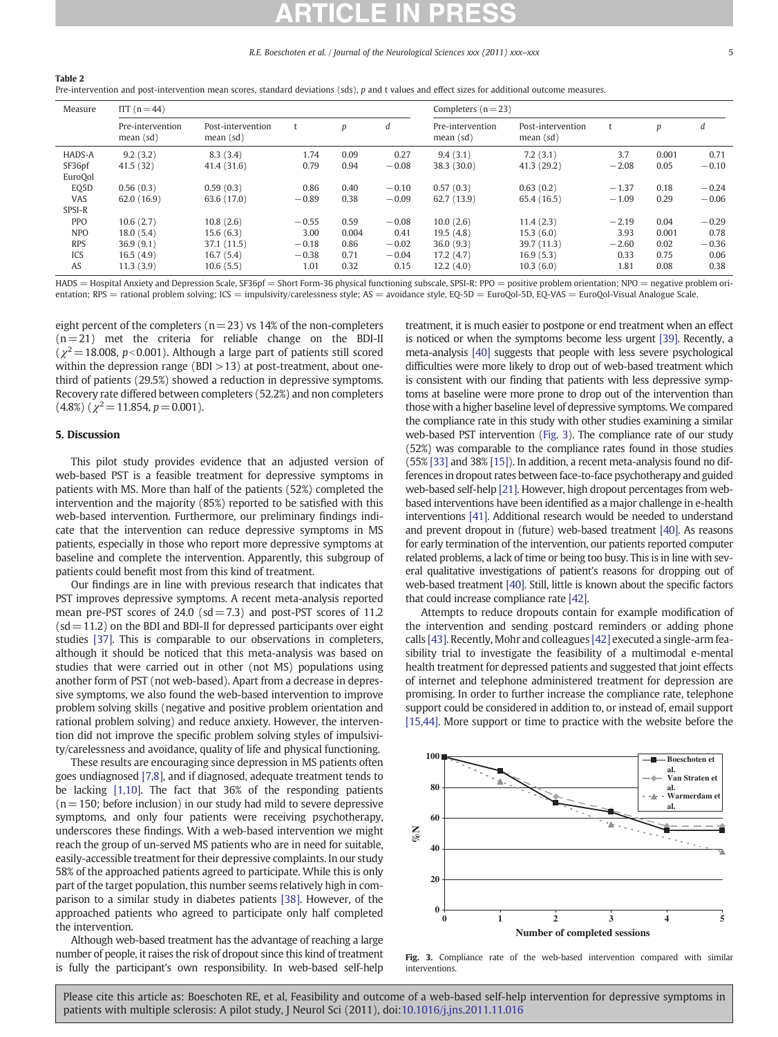#### R.E. Boeschoten et al. / Journal of the Neurological Sciences xxx (2011) xxx–xxx 5

<span id="page-4-0"></span>Pre-intervention and post-intervention mean scores, standard deviations (sds), p and t values and effect sizes for additional outcome measures.

| Measure           | ITT $(n = 44)$                |                                |         |       | Completers $(n=23)$ |                               |                                |         |       |         |
|-------------------|-------------------------------|--------------------------------|---------|-------|---------------------|-------------------------------|--------------------------------|---------|-------|---------|
|                   | Pre-intervention<br>mean (sd) | Post-intervention<br>mean (sd) | t       | p     | d                   | Pre-intervention<br>mean (sd) | Post-intervention<br>mean (sd) |         | p     | d       |
| HADS-A            | 9.2(3.2)                      | 8.3(3.4)                       | 1.74    | 0.09  | 0.27                | 9.4(3.1)                      | 7.2(3.1)                       | 3.7     | 0.001 | 0.71    |
| SF36pf<br>EuroQol | 41.5(32)                      | 41.4(31.6)                     | 0.79    | 0.94  | $-0.08$             | 38.3 (30.0)                   | 41.3(29.2)                     | $-2.08$ | 0.05  | $-0.10$ |
| EQ5D              | 0.56(0.3)                     | 0.59(0.3)                      | 0.86    | 0.40  | $-0.10$             | 0.57(0.3)                     | 0.63(0.2)                      | $-1.37$ | 0.18  | $-0.24$ |
| VAS               | 62.0(16.9)                    | 63.6 (17.0)                    | $-0.89$ | 0.38  | $-0.09$             | 62.7(13.9)                    | 65.4 (16.5)                    | $-1.09$ | 0.29  | $-0.06$ |
| SPSI-R            |                               |                                |         |       |                     |                               |                                |         |       |         |
| <b>PPO</b>        | 10.6(2.7)                     | 10.8(2.6)                      | $-0.55$ | 0.59  | $-0.08$             | 10.0(2.6)                     | 11.4(2.3)                      | $-2.19$ | 0.04  | $-0.29$ |
| <b>NPO</b>        | 18.0(5.4)                     | 15.6(6.3)                      | 3.00    | 0.004 | 0.41                | 19.5(4.8)                     | 15.3(6.0)                      | 3.93    | 0.001 | 0.78    |
| <b>RPS</b>        | 36.9(9.1)                     | 37.1 (11.5)                    | $-0.18$ | 0.86  | $-0.02$             | 36.0(9.3)                     | 39.7 (11.3)                    | $-2.60$ | 0.02  | $-0.36$ |
| ICS               | 16.5(4.9)                     | 16.7(5.4)                      | $-0.38$ | 0.71  | $-0.04$             | 17.2(4.7)                     | 16.9(5.3)                      | 0.33    | 0.75  | 0.06    |
| AS                | 11.3(3.9)                     | 10.6(5.5)                      | 1.01    | 0.32  | 0.15                | 12.2(4.0)                     | 10.3(6.0)                      | 1.81    | 0.08  | 0.38    |

HADS = Hospital Anxiety and Depression Scale, SF36pf = Short Form-36 physical functioning subscale, SPSI-R: PPO = positive problem orientation; NPO = negative problem orientation; RPS = rational problem solving; ICS = impulsivity/carelessness style; AS = avoidance style, EQ-5D = EuroQol-5D, EQ-VAS = EuroQol-Visual Analogue Scale.

eight percent of the completers ( $n=23$ ) vs 14% of the non-completers  $(n=21)$  met the criteria for reliable change on the BDI-II  $(\chi^2=18.008, p<0.001)$ . Although a large part of patients still scored within the depression range (BDI  $>13$ ) at post-treatment, about onethird of patients (29.5%) showed a reduction in depressive symptoms. Recovery rate differed between completers (52.2%) and non completers  $(4.8\%)$  ( $\chi^2$  = 11.854, p = 0.001).

# 5. Discussion

This pilot study provides evidence that an adjusted version of web-based PST is a feasible treatment for depressive symptoms in patients with MS. More than half of the patients (52%) completed the intervention and the majority (85%) reported to be satisfied with this web-based intervention. Furthermore, our preliminary findings indicate that the intervention can reduce depressive symptoms in MS patients, especially in those who report more depressive symptoms at baseline and complete the intervention. Apparently, this subgroup of patients could benefit most from this kind of treatment.

Our findings are in line with previous research that indicates that PST improves depressive symptoms. A recent meta-analysis reported mean pre-PST scores of 24.0 ( $sd = 7.3$ ) and post-PST scores of 11.2  $(sd=11.2)$  on the BDI and BDI-II for depressed participants over eight studies [\[37\].](#page-5-0) This is comparable to our observations in completers, although it should be noticed that this meta-analysis was based on studies that were carried out in other (not MS) populations using another form of PST (not web-based). Apart from a decrease in depressive symptoms, we also found the web-based intervention to improve problem solving skills (negative and positive problem orientation and rational problem solving) and reduce anxiety. However, the intervention did not improve the specific problem solving styles of impulsivity/carelessness and avoidance, quality of life and physical functioning.

These results are encouraging since depression in MS patients often goes undiagnosed [\[7,8\],](#page-5-0) and if diagnosed, adequate treatment tends to be lacking [\[1,10\].](#page-5-0) The fact that 36% of the responding patients  $(n=150;$  before inclusion) in our study had mild to severe depressive symptoms, and only four patients were receiving psychotherapy, underscores these findings. With a web-based intervention we might reach the group of un-served MS patients who are in need for suitable, easily-accessible treatment for their depressive complaints. In our study 58% of the approached patients agreed to participate. While this is only part of the target population, this number seems relatively high in comparison to a similar study in diabetes patients [\[38\].](#page-5-0) However, of the approached patients who agreed to participate only half completed the intervention.

Although web-based treatment has the advantage of reaching a large number of people, it raises the risk of dropout since this kind of treatment is fully the participant's own responsibility. In web-based self-help treatment, it is much easier to postpone or end treatment when an effect is noticed or when the symptoms become less urgent [\[39\].](#page-5-0) Recently, a meta-analysis [\[40\]](#page-5-0) suggests that people with less severe psychological difficulties were more likely to drop out of web-based treatment which is consistent with our finding that patients with less depressive symptoms at baseline were more prone to drop out of the intervention than those with a higher baseline level of depressive symptoms. We compared the compliance rate in this study with other studies examining a similar web-based PST intervention (Fig. 3). The compliance rate of our study (52%) was comparable to the compliance rates found in those studies (55% [\[33\]](#page-5-0) and 38% [\[15\]](#page-5-0)). In addition, a recent meta-analysis found no differences in dropout rates between face-to-face psychotherapy and guided web-based self-help [\[21\].](#page-5-0) However, high dropout percentages from webbased interventions have been identified as a major challenge in e-health interventions [\[41\]](#page-5-0). Additional research would be needed to understand and prevent dropout in (future) web-based treatment [\[40\]](#page-5-0). As reasons for early termination of the intervention, our patients reported computer related problems, a lack of time or being too busy. This is in line with several qualitative investigations of patient's reasons for dropping out of web-based treatment [\[40\]](#page-5-0). Still, little is known about the specific factors that could increase compliance rate [\[42\]](#page-5-0).

Attempts to reduce dropouts contain for example modification of the intervention and sending postcard reminders or adding phone calls [\[43\].](#page-5-0) Recently, Mohr and colleagues [\[42\]](#page-5-0) executed a single-arm feasibility trial to investigate the feasibility of a multimodal e-mental health treatment for depressed patients and suggested that joint effects of internet and telephone administered treatment for depression are promising. In order to further increase the compliance rate, telephone support could be considered in addition to, or instead of, email support [\[15,44\].](#page-5-0) More support or time to practice with the website before the



Fig. 3. Compliance rate of the web-based intervention compared with similar interventions.